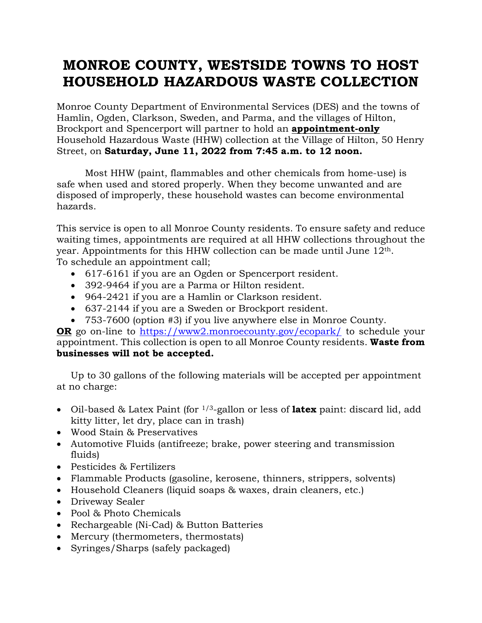## **MONROE COUNTY, WESTSIDE TOWNS TO HOST HOUSEHOLD HAZARDOUS WASTE COLLECTION**

Monroe County Department of Environmental Services (DES) and the towns of Hamlin, Ogden, Clarkson, Sweden, and Parma, and the villages of Hilton, Brockport and Spencerport will partner to hold an **appointment-only** Household Hazardous Waste (HHW) collection at the Village of Hilton, 50 Henry Street, on **Saturday, June 11, 2022 from 7:45 a.m. to 12 noon.** 

Most HHW (paint, flammables and other chemicals from home-use) is safe when used and stored properly. When they become unwanted and are disposed of improperly, these household wastes can become environmental hazards.

This service is open to all Monroe County residents. To ensure safety and reduce waiting times, appointments are required at all HHW collections throughout the year. Appointments for this HHW collection can be made until June 12th. To schedule an appointment call;

- 617-6161 if you are an Ogden or Spencerport resident.
- 392-9464 if you are a Parma or Hilton resident.
- 964-2421 if you are a Hamlin or Clarkson resident.
- 637-2144 if you are a Sweden or Brockport resident.
- 753-7600 (option #3) if you live anywhere else in Monroe County.

**OR** go on-line to <https://www2.monroecounty.gov/ecopark/> to schedule your appointment. This collection is open to all Monroe County residents. **Waste from businesses will not be accepted.**

Up to 30 gallons of the following materials will be accepted per appointment at no charge:

- Oil-based & Latex Paint (for 1/3-gallon or less of **latex** paint: discard lid, add kitty litter, let dry, place can in trash)
- Wood Stain & Preservatives
- Automotive Fluids (antifreeze; brake, power steering and transmission fluids)
- Pesticides & Fertilizers
- Flammable Products (gasoline, kerosene, thinners, strippers, solvents)
- Household Cleaners (liquid soaps & waxes, drain cleaners, etc.)
- Driveway Sealer
- Pool & Photo Chemicals
- Rechargeable (Ni-Cad) & Button Batteries
- Mercury (thermometers, thermostats)
- Syringes/Sharps (safely packaged)